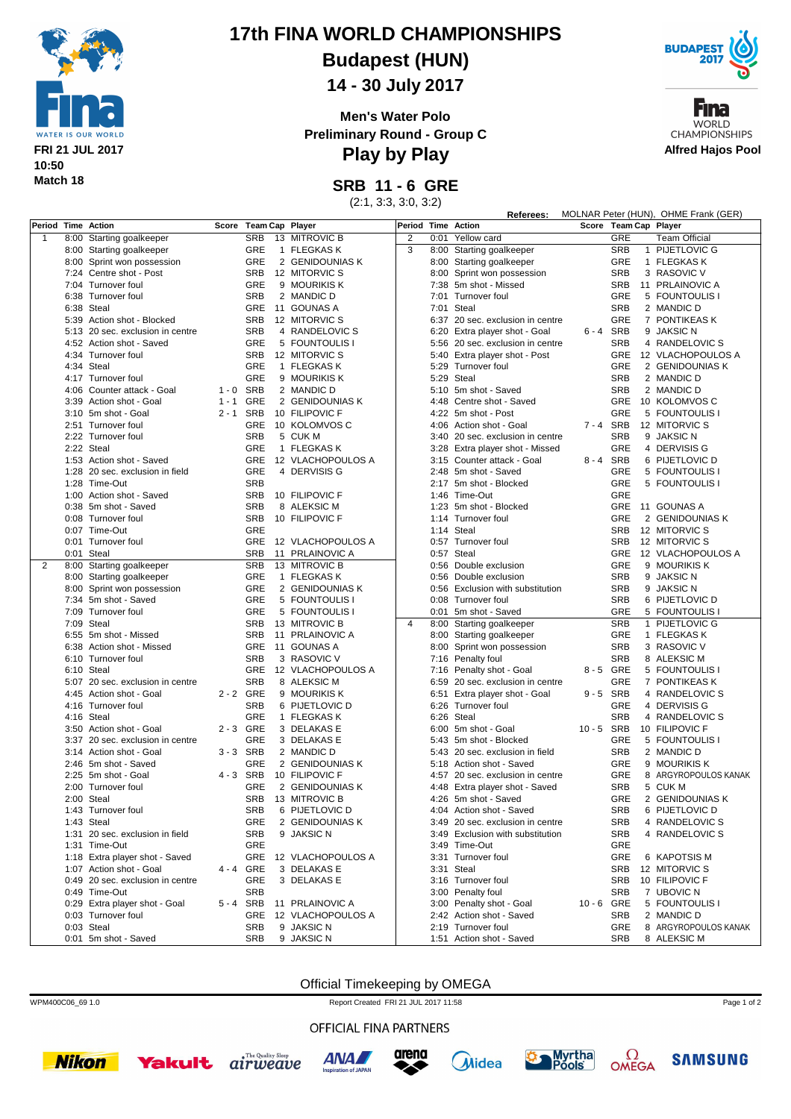

## **17th FINA WORLD CHAMPIONSHIPS**

**Budapest (HUN)**

**14 - 30 July 2017**

**Men's Water Polo Preliminary Round - Group C**



Fina **WORLD CHAMPIONSHIPS Alfred Hajos Pool**

**Play by Play**

**SRB 11 - 6 GRE**

(2:1, 3:3, 3:0, 3:2)

|                    |                                  |             |                       |  |                   |                    |  | MOLNAR Peter (HUN), OHME Frank (GER)<br>Referees: |          |            |  |                       |
|--------------------|----------------------------------|-------------|-----------------------|--|-------------------|--------------------|--|---------------------------------------------------|----------|------------|--|-----------------------|
| Period Time Action |                                  |             | Score Team Cap Player |  |                   | Period Time Action |  |                                                   |          |            |  | Score Team Cap Player |
| $\mathbf{1}$       | 8:00 Starting goalkeeper         |             | <b>SRB</b>            |  | 13 MITROVIC B     | 2                  |  | 0:01 Yellow card                                  |          | GRE        |  | <b>Team Official</b>  |
|                    | 8:00 Starting goalkeeper         |             | GRE                   |  | 1 FLEGKAS K       | 3                  |  | 8:00 Starting goalkeeper                          |          | <b>SRB</b> |  | 1 PIJETLOVIC G        |
|                    | 8:00 Sprint won possession       |             | GRE                   |  | 2 GENIDOUNIAS K   |                    |  | 8:00 Starting goalkeeper                          |          | <b>GRE</b> |  | 1 FLEGKAS K           |
|                    | 7:24 Centre shot - Post          |             | SRB                   |  | 12 MITORVIC S     |                    |  | 8:00 Sprint won possession                        |          | <b>SRB</b> |  | 3 RASOVIC V           |
|                    | 7:04 Turnover foul               |             | GRE                   |  | 9 MOURIKIS K      |                    |  | 7:38 5m shot - Missed                             |          | <b>SRB</b> |  | 11 PRLAINOVIC A       |
|                    | 6:38 Turnover foul               |             | <b>SRB</b>            |  | 2 MANDIC D        |                    |  | 7:01 Turnover foul                                |          | <b>GRE</b> |  | 5 FOUNTOULIS I        |
|                    | 6:38 Steal                       |             | GRE                   |  | 11 GOUNAS A       |                    |  | 7:01 Steal                                        |          | <b>SRB</b> |  | 2 MANDIC D            |
|                    | 5:39 Action shot - Blocked       |             | <b>SRB</b>            |  | 12 MITORVIC S     |                    |  | 6:37 20 sec. exclusion in centre                  |          | GRE        |  | 7 PONTIKEAS K         |
|                    | 5:13 20 sec. exclusion in centre |             | <b>SRB</b>            |  | 4 RANDELOVIC S    |                    |  | 6:20 Extra player shot - Goal                     | 6-4 SRB  |            |  | 9 JAKSIC N            |
|                    | 4:52 Action shot - Saved         |             | GRE                   |  | 5 FOUNTOULIS I    |                    |  | 5:56 20 sec. exclusion in centre                  |          | <b>SRB</b> |  | 4 RANDELOVIC S        |
|                    | 4:34 Turnover foul               |             | <b>SRB</b>            |  | 12 MITORVIC S     |                    |  | 5:40 Extra player shot - Post                     |          | <b>GRE</b> |  | 12 VLACHOPOULOS A     |
|                    | 4:34 Steal                       |             | GRE                   |  | 1 FLEGKAS K       |                    |  | 5:29 Turnover foul                                |          | GRE        |  | 2 GENIDOUNIAS K       |
|                    | 4:17 Turnover foul               |             | <b>GRE</b>            |  | 9 MOURIKIS K      |                    |  | 5:29 Steal                                        |          | <b>SRB</b> |  | 2 MANDIC D            |
|                    | 4:06 Counter attack - Goal       | $1 - 0$     | SRB                   |  | 2 MANDIC D        |                    |  | 5:10 5m shot - Saved                              |          | <b>SRB</b> |  | 2 MANDIC D            |
|                    | 3:39 Action shot - Goal          | $1 - 1$     | GRE                   |  | 2 GENIDOUNIAS K   |                    |  | 4:48 Centre shot - Saved                          |          | <b>GRE</b> |  | 10 KOLOMVOS C         |
|                    | 3:10 5m shot - Goal              | 2-1 SRB     |                       |  | 10 FILIPOVIC F    |                    |  | 4:22 5m shot - Post                               |          | <b>GRE</b> |  | 5 FOUNTOULIS I        |
|                    | 2:51 Turnover foul               |             | <b>GRE</b>            |  | 10 KOLOMVOS C     |                    |  | 4:06 Action shot - Goal                           | 7-4 SRB  |            |  | 12 MITORVIC S         |
|                    | 2:22 Turnover foul               |             | <b>SRB</b>            |  | 5 CUK M           |                    |  | 3:40 20 sec. exclusion in centre                  |          | <b>SRB</b> |  | 9 JAKSIC N            |
|                    | 2:22 Steal                       |             | GRE                   |  | 1 FLEGKAS K       |                    |  | 3:28 Extra player shot - Missed                   |          | <b>GRE</b> |  | 4 DERVISIS G          |
|                    | 1:53 Action shot - Saved         |             | GRE                   |  | 12 VLACHOPOULOS A |                    |  | 3:15 Counter attack - Goal                        | 8-4 SRB  |            |  | 6 PIJETLOVIC D        |
|                    | 1:28 20 sec. exclusion in field  |             | GRE                   |  | 4 DERVISIS G      |                    |  | 2:48 5m shot - Saved                              |          | GRE        |  | 5 FOUNTOULIS I        |
|                    | 1:28 Time-Out                    |             | <b>SRB</b>            |  |                   |                    |  | 2:17 5m shot - Blocked                            |          | <b>GRE</b> |  | 5 FOUNTOULIS I        |
|                    | 1:00 Action shot - Saved         |             | <b>SRB</b>            |  | 10 FILIPOVIC F    |                    |  | 1:46 Time-Out                                     |          | GRE        |  |                       |
|                    | 0:38 5m shot - Saved             |             | <b>SRB</b>            |  | 8 ALEKSIC M       |                    |  | 1:23 5m shot - Blocked                            |          | <b>GRE</b> |  | 11 GOUNAS A           |
|                    | 0:08 Turnover foul               |             | SRB                   |  | 10 FILIPOVIC F    |                    |  | 1:14 Turnover foul                                |          | <b>GRE</b> |  | 2 GENIDOUNIAS K       |
|                    | 0:07 Time-Out                    |             | GRE                   |  |                   |                    |  | 1:14 Steal                                        |          | <b>SRB</b> |  | 12 MITORVIC S         |
|                    | 0:01 Turnover foul               |             | GRE                   |  | 12 VLACHOPOULOS A |                    |  | 0:57 Turnover foul                                |          | <b>SRB</b> |  | 12 MITORVIC S         |
|                    | 0:01 Steal                       |             | <b>SRB</b>            |  | 11 PRLAINOVIC A   |                    |  | 0:57 Steal                                        |          | <b>GRE</b> |  | 12 VLACHOPOULOS A     |
| 2                  | 8:00 Starting goalkeeper         |             | <b>SRB</b>            |  | 13 MITROVIC B     |                    |  | 0:56 Double exclusion                             |          | <b>GRE</b> |  | 9 MOURIKIS K          |
|                    | 8:00 Starting goalkeeper         |             | GRE                   |  | 1 FLEGKAS K       |                    |  | 0:56 Double exclusion                             |          | <b>SRB</b> |  | 9 JAKSIC N            |
|                    | 8:00 Sprint won possession       |             | GRE                   |  | 2 GENIDOUNIAS K   |                    |  | 0:56 Exclusion with substitution                  |          | <b>SRB</b> |  | 9 JAKSIC N            |
|                    | 7:34 5m shot - Saved             |             | GRE                   |  | 5 FOUNTOULIS I    |                    |  | 0:08 Turnover foul                                |          | <b>SRB</b> |  | 6 PIJETLOVIC D        |
|                    | 7:09 Turnover foul               |             | GRE                   |  | 5 FOUNTOULIS I    |                    |  | 0:01 5m shot - Saved                              |          | <b>GRE</b> |  | 5 FOUNTOULIS I        |
|                    | 7:09 Steal                       |             | <b>SRB</b>            |  | 13 MITROVIC B     | $\overline{4}$     |  | 8:00 Starting goalkeeper                          |          | <b>SRB</b> |  | 1 PIJETLOVIC G        |
|                    | 6:55 5m shot - Missed            |             | <b>SRB</b>            |  | 11 PRLAINOVIC A   |                    |  | 8:00 Starting goalkeeper                          |          | <b>GRE</b> |  | 1 FLEGKAS K           |
|                    | 6:38 Action shot - Missed        |             | GRE                   |  | 11 GOUNAS A       |                    |  | 8:00 Sprint won possession                        |          | <b>SRB</b> |  | 3 RASOVIC V           |
|                    | 6:10 Turnover foul               |             | <b>SRB</b>            |  | 3 RASOVIC V       |                    |  | 7:16 Penalty foul                                 |          | <b>SRB</b> |  | 8 ALEKSIC M           |
|                    | 6:10 Steal                       |             | <b>GRE</b>            |  | 12 VLACHOPOULOS A |                    |  | 7:16 Penalty shot - Goal                          | 8-5 GRE  |            |  | 5 FOUNTOULIS I        |
|                    | 5:07 20 sec. exclusion in centre |             | <b>SRB</b>            |  | 8 ALEKSIC M       |                    |  | 6:59 20 sec. exclusion in centre                  |          | <b>GRE</b> |  | 7 PONTIKEAS K         |
|                    | 4:45 Action shot - Goal          | 2 - 2 GRE   |                       |  | 9 MOURIKIS K      |                    |  | 6:51 Extra player shot - Goal                     | 9-5 SRB  |            |  | 4 RANDELOVIC S        |
|                    | 4:16 Turnover foul               |             | <b>SRB</b>            |  | 6 PIJETLOVIC D    |                    |  | 6:26 Turnover foul                                |          | GRE        |  | 4 DERVISIS G          |
|                    | 4:16 Steal                       |             | <b>GRE</b>            |  | 1 FLEGKAS K       |                    |  | 6:26 Steal                                        |          | <b>SRB</b> |  | 4 RANDELOVIC S        |
|                    | 3:50 Action shot - Goal          | 2-3 GRE     |                       |  | 3 DELAKAS E       |                    |  | 6:00 5m shot - Goal                               | 10-5 SRB |            |  | 10 FILIPOVIC F        |
|                    | 3:37 20 sec. exclusion in centre |             | GRE                   |  | 3 DELAKAS E       |                    |  | 5:43 5m shot - Blocked                            |          | <b>GRE</b> |  | 5 FOUNTOULIS I        |
|                    | 3:14 Action shot - Goal          | $3 - 3$ SRB |                       |  | 2 MANDIC D        |                    |  | 5:43 20 sec. exclusion in field                   |          | <b>SRB</b> |  | 2 MANDIC D            |
|                    | 2:46 5m shot - Saved             |             | GRE                   |  | 2 GENIDOUNIAS K   |                    |  | 5:18 Action shot - Saved                          |          | <b>GRE</b> |  | 9 MOURIKIS K          |
|                    | 2:25 5m shot - Goal              | 4-3 SRB     |                       |  | 10 FILIPOVIC F    |                    |  | 4:57 20 sec. exclusion in centre                  |          | <b>GRE</b> |  | 8 ARGYROPOULOS KANAK  |
|                    | 2:00 Turnover foul               |             | GRE                   |  | 2 GENIDOUNIAS K   |                    |  | 4:48 Extra player shot - Saved                    |          | <b>SRB</b> |  | 5 CUK M               |
|                    | 2:00 Steal                       |             | SRB                   |  | 13 MITROVIC B     |                    |  | 4:26 5m shot - Saved                              |          | GRE        |  | 2 GENIDOUNIAS K       |
|                    | 1:43 Turnover foul               |             | <b>SRB</b>            |  | 6 PIJETLOVIC D    |                    |  | 4:04 Action shot - Saved                          |          | <b>SRB</b> |  | 6 PIJETLOVIC D        |
|                    | 1:43 Steal                       |             | GRE                   |  | 2 GENIDOUNIAS K   |                    |  | 3:49 20 sec. exclusion in centre                  |          | <b>SRB</b> |  | 4 RANDELOVIC S        |
|                    | 1:31 20 sec. exclusion in field  |             | <b>SRB</b>            |  | 9 JAKSIC N        |                    |  | 3:49 Exclusion with substitution                  |          | <b>SRB</b> |  | 4 RANDELOVIC S        |
|                    | 1:31 Time-Out                    |             | GRE                   |  |                   |                    |  | 3:49 Time-Out                                     |          | GRE        |  |                       |
|                    | 1:18 Extra player shot - Saved   |             | GRE                   |  | 12 VLACHOPOULOS A |                    |  | 3:31 Turnover foul                                |          | GRE        |  | 6 KAPOTSIS M          |
|                    | 1:07 Action shot - Goal          | 4 - 4 GRE   |                       |  | 3 DELAKAS E       |                    |  | 3:31 Steal                                        |          | <b>SRB</b> |  | 12 MITORVIC S         |
|                    | 0:49 20 sec. exclusion in centre |             | GRE                   |  | 3 DELAKAS E       |                    |  | 3:16 Turnover foul                                |          | <b>SRB</b> |  | 10 FILIPOVIC F        |
|                    | 0:49 Time-Out                    |             | <b>SRB</b>            |  |                   |                    |  | 3:00 Penalty foul                                 |          | <b>SRB</b> |  | 7 UBOVIC N            |
|                    | 0:29 Extra player shot - Goal    | 5-4 SRB     |                       |  | 11 PRLAINOVIC A   |                    |  | 3:00 Penalty shot - Goal                          | 10-6 GRE |            |  | 5 FOUNTOULIS I        |
|                    | 0:03 Turnover foul               |             | GRE                   |  | 12 VLACHOPOULOS A |                    |  | 2:42 Action shot - Saved                          |          | <b>SRB</b> |  | 2 MANDIC D            |
|                    | 0:03 Steal                       |             | <b>SRB</b>            |  | 9 JAKSIC N        |                    |  | 2:19 Turnover foul                                |          | GRE        |  | 8 ARGYROPOULOS KANAK  |
|                    | 0:01 5m shot - Saved             |             | <b>SRB</b>            |  | 9 JAKSIC N        |                    |  | 1:51 Action shot - Saved                          |          | <b>SRB</b> |  | 8 ALEKSIC M           |

Official Timekeeping by OMEGA

WPM400C06\_69 1.0 Report Created FRI 21 JUL 2017 11:58

OFFICIAL FINA PARTNERS













Page 1 of 2